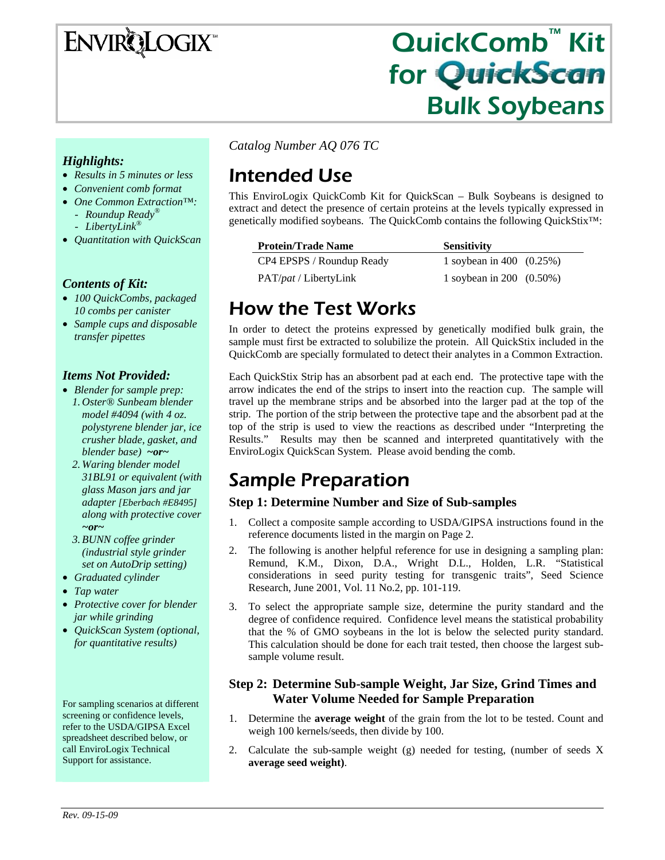# **ENVIRQLOGIX**

# QuickComb™ Kit for QuickScan Bulk Soybeans

### *Highlights:*

- *Results in 5 minutes or less*
- *Convenient comb format*
- *One Common Extraction™:* 
	- *Roundup Ready®*
	- *LibertyLink®*
- *Quantitation with QuickScan*

### *Contents of Kit:*

- *100 QuickCombs, packaged 10 combs per canister*
- *Sample cups and disposable transfer pipettes*

### *Items Not Provided:*

- *Blender for sample prep: 1. Oster® Sunbeam blender model #4094 (with 4 oz. polystyrene blender jar, ice crusher blade, gasket, and blender base) ~or~*
	- *2. Waring blender model 31BL91 or equivalent (with glass Mason jars and jar adapter [Eberbach #E8495] along with protective cover ~or~*
	- *3.BUNN coffee grinder (industrial style grinder set on AutoDrip setting)*
- *Graduated cylinder*
- *Tap water*
- *Protective cover for blender jar while grinding*
- *QuickScan System (optional, for quantitative results)*

For sampling scenarios at different screening or confidence levels, refer to the USDA/GIPSA Excel spreadsheet described below, or call EnviroLogix Technical Support for assistance.

*Catalog Number AQ 076 TC* 

# Intended Use

This EnviroLogix QuickComb Kit for QuickScan – Bulk Soybeans is designed to extract and detect the presence of certain proteins at the levels typically expressed in genetically modified soybeans. The QuickComb contains the following QuickStix™:

#### **Protein/Trade Name Sensitivity**

|                               | 10011010111011              |
|-------------------------------|-----------------------------|
| CP4 EPSPS / Roundup Ready     | 1 soybean in 400 $(0.25%)$  |
| PAT/ <i>pat</i> / LibertyLink | 1 soybean in 200 $(0.50\%)$ |

# How the Test Works

In order to detect the proteins expressed by genetically modified bulk grain, the sample must first be extracted to solubilize the protein. All QuickStix included in the QuickComb are specially formulated to detect their analytes in a Common Extraction.

Each QuickStix Strip has an absorbent pad at each end. The protective tape with the arrow indicates the end of the strips to insert into the reaction cup. The sample will travel up the membrane strips and be absorbed into the larger pad at the top of the strip. The portion of the strip between the protective tape and the absorbent pad at the top of the strip is used to view the reactions as described under "Interpreting the Results." Results may then be scanned and interpreted quantitatively with the EnviroLogix QuickScan System. Please avoid bending the comb.

# Sample Preparation

### **Step 1: Determine Number and Size of Sub-samples**

- 1. Collect a composite sample according to USDA/GIPSA instructions found in the reference documents listed in the margin on Page 2.
- 2. The following is another helpful reference for use in designing a sampling plan: Remund, K.M., Dixon, D.A., Wright D.L., Holden, L.R. "Statistical considerations in seed purity testing for transgenic traits", Seed Science Research, June 2001, Vol. 11 No.2, pp. 101-119.
- 3. To select the appropriate sample size, determine the purity standard and the degree of confidence required. Confidence level means the statistical probability that the % of GMO soybeans in the lot is below the selected purity standard. This calculation should be done for each trait tested, then choose the largest subsample volume result.

### **Step 2: Determine Sub-sample Weight, Jar Size, Grind Times and Water Volume Needed for Sample Preparation**

- 1. Determine the **average weight** of the grain from the lot to be tested. Count and weigh 100 kernels/seeds, then divide by 100.
- 2. Calculate the sub-sample weight (g) needed for testing, (number of seeds X **average seed weight)**.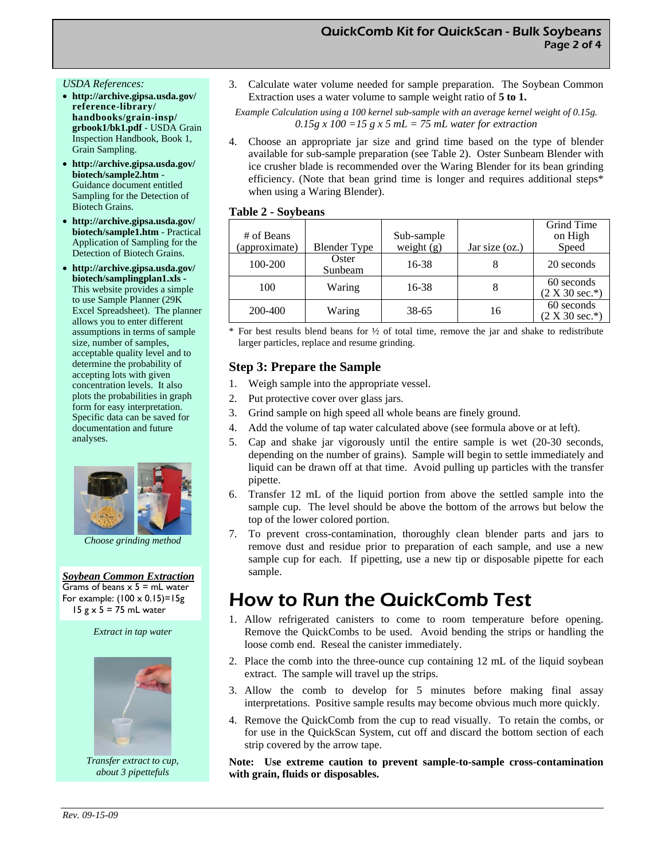#### *USDA References:*

- **http://archive.gipsa.usda.gov/ reference-library/ handbooks/grain-insp/ grbook1/bk1.pdf** - USDA Grain Inspection Handbook, Book 1, Grain Sampling.
- **http://archive.gipsa.usda.gov/ biotech/sample2.htm** - Guidance document entitled Sampling for the Detection of Biotech Grains.
- **http://archive.gipsa.usda.gov/ biotech/sample1.htm** - Practical Application of Sampling for the Detection of Biotech Grains.
- **http://archive.gipsa.usda.gov/ biotech/samplingplan1.xls -**  This website provides a simple to use Sample Planner (29K Excel Spreadsheet). The planner allows you to enter different assumptions in terms of sample size, number of samples, acceptable quality level and to determine the probability of accepting lots with given concentration levels. It also plots the probabilities in graph form for easy interpretation. Specific data can be saved for documentation and future analyses.



 *Choose grinding method* 

*Soybean Common Extraction* Grams of beans  $x$  5 = mL water For example:  $(100 \times 0.15)=15g$ 15  $g \times$  5 = 75 mL water

*Extract in tap water* 



*Transfer extract to cup, about 3 pipettefuls* 

3. Calculate water volume needed for sample preparation. The Soybean Common Extraction uses a water volume to sample weight ratio of **5 to 1.**

*Example Calculation using a 100 kernel sub-sample with an average kernel weight of 0.15g.*   $0.15g \times 100 = 15 g \times 5 mL = 75 mL$  water for extraction

4. Choose an appropriate jar size and grind time based on the type of blender available for sub-sample preparation (see Table 2). Oster Sunbeam Blender with ice crusher blade is recommended over the Waring Blender for its bean grinding efficiency. (Note that bean grind time is longer and requires additional steps\* when using a Waring Blender).

#### **Table 2 - Soybeans**

| # of Beans    |                     | Sub-sample   |                | Grind Time<br>on High          |
|---------------|---------------------|--------------|----------------|--------------------------------|
| (approximate) | <b>Blender Type</b> | weight $(g)$ | Jar size (oz.) | Speed                          |
| 100-200       | Oster<br>Sunbeam    | 16-38        |                | 20 seconds                     |
| 100           | Waring              | 16-38        |                | 60 seconds<br>$(2 X 30 sec.*)$ |
| 200-400       | Waring              | 38-65        | 16             | 60 seconds<br>$(2 X 30 sec.*)$ |

For best results blend beans for  $\frac{1}{2}$  of total time, remove the jar and shake to redistribute larger particles, replace and resume grinding.

### **Step 3: Prepare the Sample**

- 1. Weigh sample into the appropriate vessel.
- 2. Put protective cover over glass jars.
- 3. Grind sample on high speed all whole beans are finely ground.
- 4. Add the volume of tap water calculated above (see formula above or at left).
- 5. Cap and shake jar vigorously until the entire sample is wet (20-30 seconds, depending on the number of grains). Sample will begin to settle immediately and liquid can be drawn off at that time. Avoid pulling up particles with the transfer pipette.
- 6. Transfer 12 mL of the liquid portion from above the settled sample into the sample cup. The level should be above the bottom of the arrows but below the top of the lower colored portion.
- 7. To prevent cross-contamination, thoroughly clean blender parts and jars to remove dust and residue prior to preparation of each sample, and use a new sample cup for each. If pipetting, use a new tip or disposable pipette for each sample.

## How to Run the QuickComb Test

- 1. Allow refrigerated canisters to come to room temperature before opening. Remove the QuickCombs to be used. Avoid bending the strips or handling the loose comb end. Reseal the canister immediately.
- 2. Place the comb into the three-ounce cup containing 12 mL of the liquid soybean extract. The sample will travel up the strips.
- 3. Allow the comb to develop for 5 minutes before making final assay interpretations. Positive sample results may become obvious much more quickly.
- 4. Remove the QuickComb from the cup to read visually. To retain the combs, or for use in the QuickScan System, cut off and discard the bottom section of each strip covered by the arrow tape.

#### **Note: Use extreme caution to prevent sample-to-sample cross-contamination with grain, fluids or disposables.**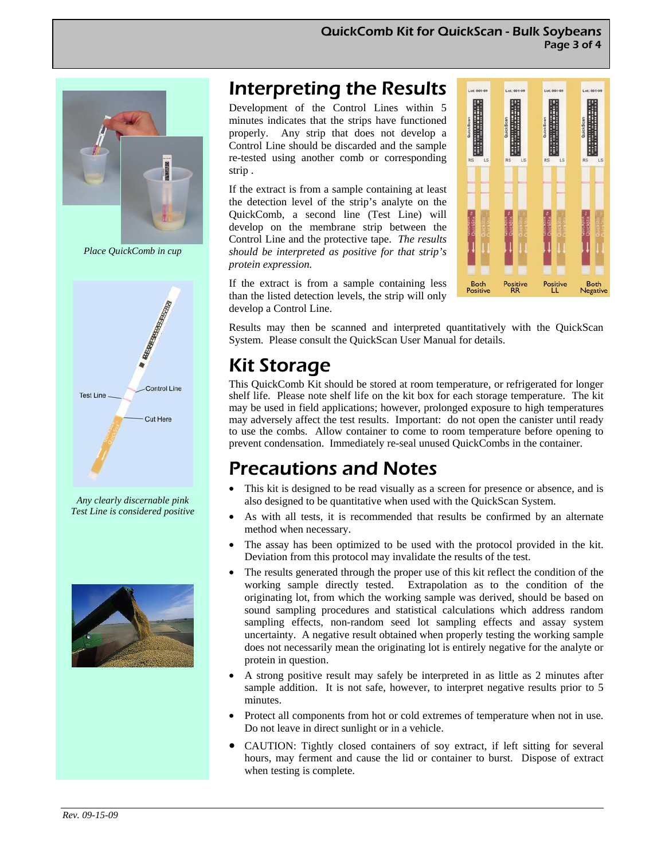

*Place QuickComb in cup* 



*Any clearly discernable pink Test Line is considered positive* 



# Interpreting the Results

Development of the Control Lines within 5 minutes indicates that the strips have functioned properly. Any strip that does not develop a Control Line should be discarded and the sample re-tested using another comb or corresponding strip .

If the extract is from a sample containing at least the detection level of the strip's analyte on the QuickComb, a second line (Test Line) will develop on the membrane strip between the Control Line and the protective tape. *The results should be interpreted as positive for that strip's protein expression.* 



If the extract is from a sample containing less than the listed detection levels, the strip will only develop a Control Line.

Results may then be scanned and interpreted quantitatively with the QuickScan System. Please consult the QuickScan User Manual for details.

# Kit Storage

This QuickComb Kit should be stored at room temperature, or refrigerated for longer shelf life. Please note shelf life on the kit box for each storage temperature. The kit may be used in field applications; however, prolonged exposure to high temperatures may adversely affect the test results. Important: do not open the canister until ready to use the combs. Allow container to come to room temperature before opening to prevent condensation. Immediately re-seal unused QuickCombs in the container.

# Precautions and Notes

- This kit is designed to be read visually as a screen for presence or absence, and is also designed to be quantitative when used with the QuickScan System.
- As with all tests, it is recommended that results be confirmed by an alternate method when necessary.
- The assay has been optimized to be used with the protocol provided in the kit. Deviation from this protocol may invalidate the results of the test.
- The results generated through the proper use of this kit reflect the condition of the working sample directly tested. Extrapolation as to the condition of the originating lot, from which the working sample was derived, should be based on sound sampling procedures and statistical calculations which address random sampling effects, non-random seed lot sampling effects and assay system uncertainty. A negative result obtained when properly testing the working sample does not necessarily mean the originating lot is entirely negative for the analyte or protein in question.
- A strong positive result may safely be interpreted in as little as 2 minutes after sample addition. It is not safe, however, to interpret negative results prior to 5 minutes.
- Protect all components from hot or cold extremes of temperature when not in use. Do not leave in direct sunlight or in a vehicle.
- CAUTION: Tightly closed containers of soy extract, if left sitting for several hours, may ferment and cause the lid or container to burst. Dispose of extract when testing is complete.